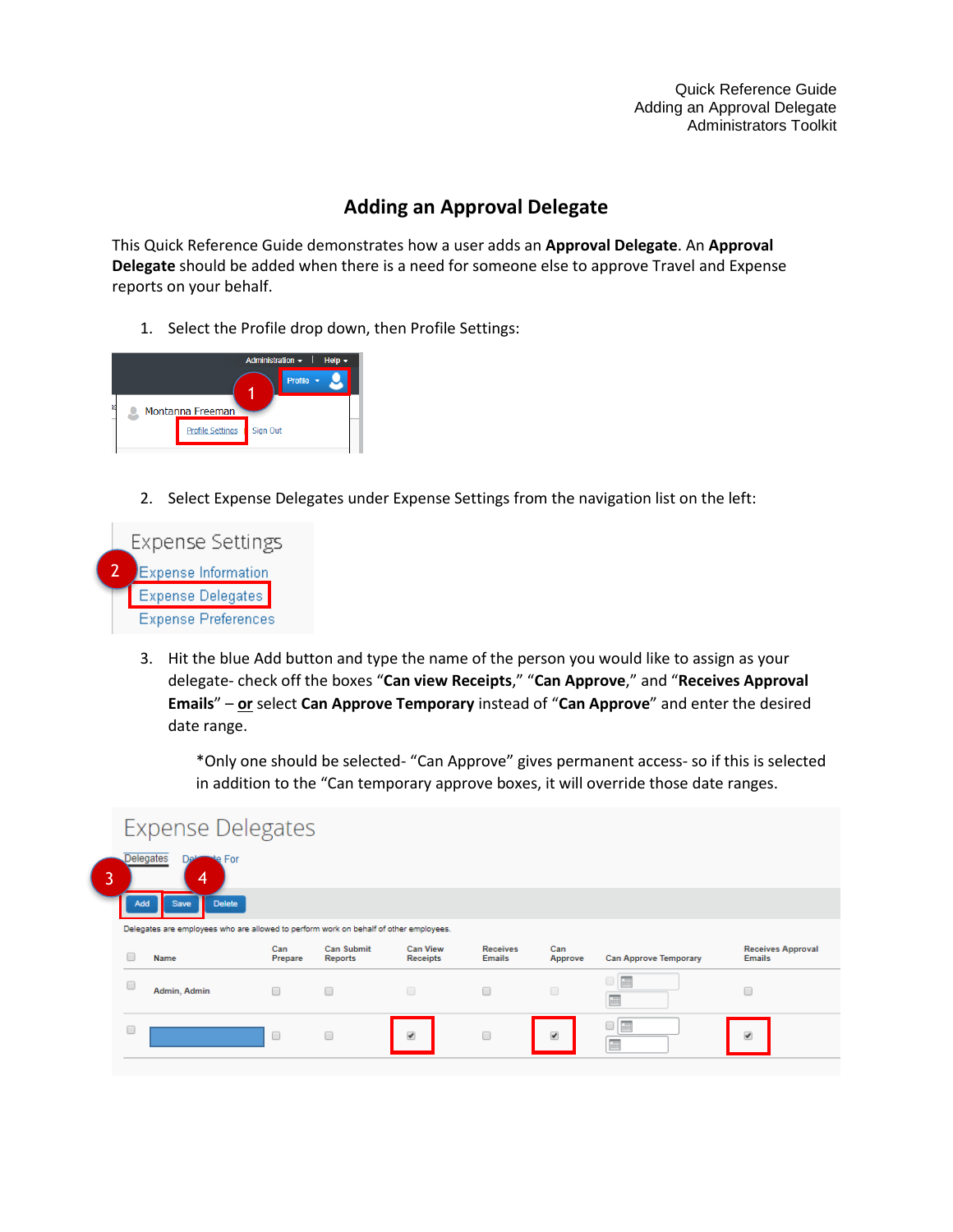Quick Reference Guide Adding an Approval Delegate Administrators Toolkit

## **Adding an Approval Delegate**

This Quick Reference Guide demonstrates how a user adds an **Approval Delegate**. An **Approval Delegate** should be added when there is a need for someone else to approve Travel and Expense reports on your behalf.

1. Select the Profile drop down, then Profile Settings:



2. Select Expense Delegates under Expense Settings from the navigation list on the left:



3. Hit the blue Add button and type the name of the person you would like to assign as your delegate- check off the boxes "**Can view Receipts**," "**Can Approve**," and "**Receives Approval Emails**" – **or** select **Can Approve Temporary** instead of "**Can Approve**" and enter the desired date range.

\*Only one should be selected- "Can Approve" gives permanent access- so if this is selected in addition to the "Can temporary approve boxes, it will override those date ranges.

|   |     | <b>Expense Delegates</b>                                                              |                |                              |                                    |                                  |                         |                              |                                           |  |
|---|-----|---------------------------------------------------------------------------------------|----------------|------------------------------|------------------------------------|----------------------------------|-------------------------|------------------------------|-------------------------------------------|--|
| 3 |     | Delegates<br>For<br>יפר<br>4                                                          |                |                              |                                    |                                  |                         |                              |                                           |  |
|   | Add | <b>Delete</b><br>Save                                                                 |                |                              |                                    |                                  |                         |                              |                                           |  |
|   |     | Delegates are employees who are allowed to perform work on behalf of other employees. |                |                              |                                    |                                  |                         |                              |                                           |  |
|   |     |                                                                                       |                |                              |                                    |                                  |                         |                              |                                           |  |
|   |     | Name                                                                                  | Can<br>Prepare | Can Submit<br><b>Reports</b> | <b>Can View</b><br><b>Receipts</b> | <b>Receives</b><br><b>Emails</b> | Can<br>Approve          | <b>Can Approve Temporary</b> | <b>Receives Approval</b><br><b>Emails</b> |  |
|   | u   | Admin, Admin                                                                          | $\Box$         | □                            | $\qquad \qquad \Box$               | $\Box$                           | $\Box$                  | $\Box$ $\Box$<br>疆           |                                           |  |
|   |     |                                                                                       | C              | $\Box$                       | $\overline{\mathcal{L}}$           | $\Box$                           | $\overline{\mathbf{v}}$ | E<br>∩<br>語                  | $\overline{\mathcal{L}}$                  |  |